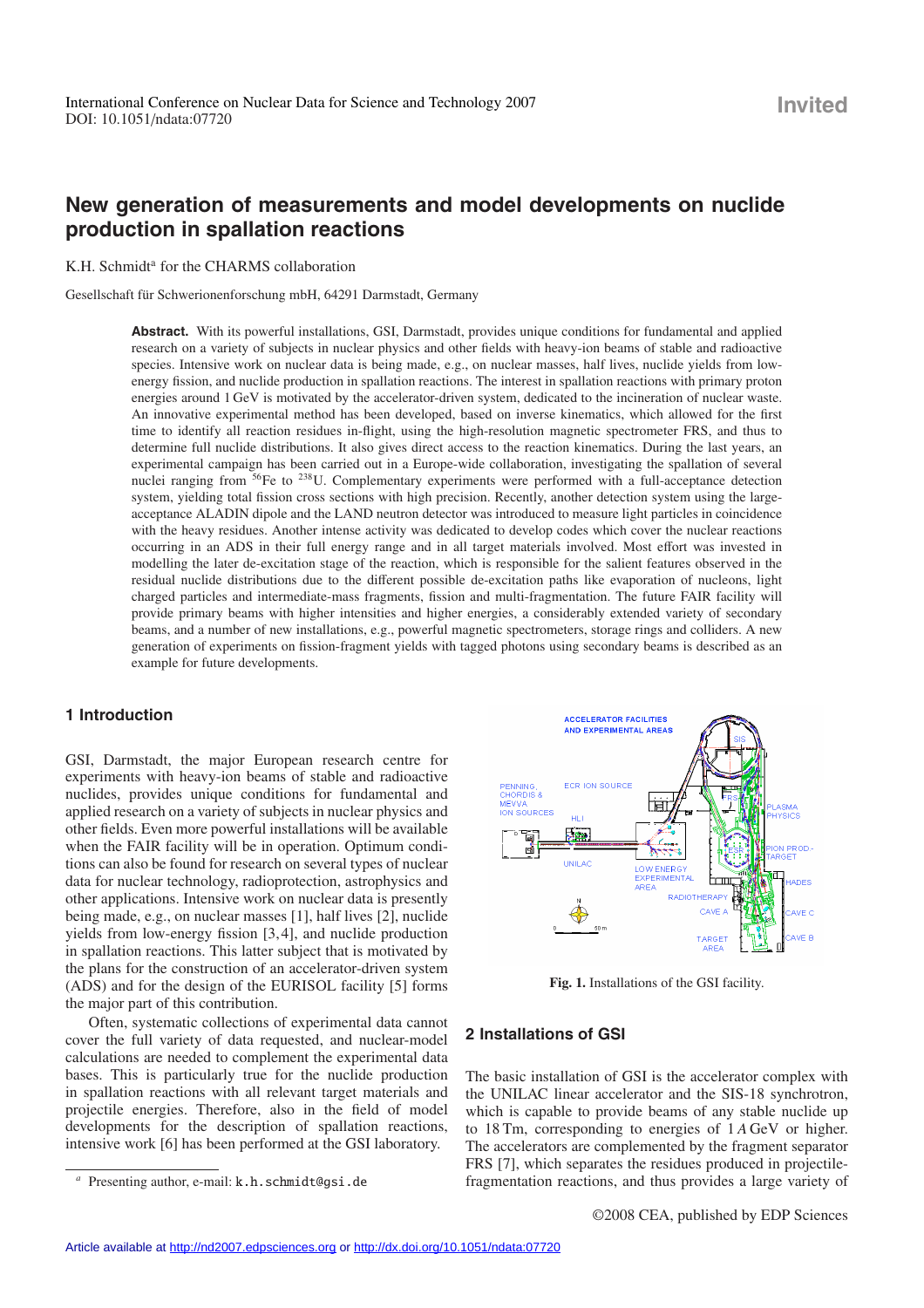# **New generation of measurements and model developments on nuclide production in spallation reactions**

K.H. Schmidt<sup>a</sup> for the CHARMS collaboration

Gesellschaft für Schwerionenforschung mbH, 64291 Darmstadt, Germany

**Abstract.** With its powerful installations, GSI, Darmstadt, provides unique conditions for fundamental and applied research on a variety of subjects in nuclear physics and other fields with heavy-ion beams of stable and radioactive species. Intensive work on nuclear data is being made, e.g., on nuclear masses, half lives, nuclide yields from lowenergy fission, and nuclide production in spallation reactions. The interest in spallation reactions with primary proton energies around 1 GeV is motivated by the accelerator-driven system, dedicated to the incineration of nuclear waste. An innovative experimental method has been developed, based on inverse kinematics, which allowed for the first time to identify all reaction residues in-flight, using the high-resolution magnetic spectrometer FRS, and thus to determine full nuclide distributions. It also gives direct access to the reaction kinematics. During the last years, an experimental campaign has been carried out in a Europe-wide collaboration, investigating the spallation of several nuclei ranging from 56Fe to 238U. Complementary experiments were performed with a full-acceptance detection system, yielding total fission cross sections with high precision. Recently, another detection system using the largeacceptance ALADIN dipole and the LAND neutron detector was introduced to measure light particles in coincidence with the heavy residues. Another intense activity was dedicated to develop codes which cover the nuclear reactions occurring in an ADS in their full energy range and in all target materials involved. Most effort was invested in modelling the later de-excitation stage of the reaction, which is responsible for the salient features observed in the residual nuclide distributions due to the different possible de-excitation paths like evaporation of nucleons, light charged particles and intermediate-mass fragments, fission and multi-fragmentation. The future FAIR facility will provide primary beams with higher intensities and higher energies, a considerably extended variety of secondary beams, and a number of new installations, e.g., powerful magnetic spectrometers, storage rings and colliders. A new generation of experiments on fission-fragment yields with tagged photons using secondary beams is described as an example for future developments.

# **1 Introduction**

GSI, Darmstadt, the major European research centre for experiments with heavy-ion beams of stable and radioactive nuclides, provides unique conditions for fundamental and applied research on a variety of subjects in nuclear physics and other fields. Even more powerful installations will be available when the FAIR facility will be in operation. Optimum conditions can also be found for research on several types of nuclear data for nuclear technology, radioprotection, astrophysics and other applications. Intensive work on nuclear data is presently being made, e.g., on nuclear masses [1], half lives [2], nuclide yields from low-energy fission [3, 4], and nuclide production in spallation reactions. This latter subject that is motivated by the plans for the construction of an accelerator-driven system (ADS) and for the design of the EURISOL facility [5] forms the major part of this contribution.

Often, systematic collections of experimental data cannot cover the full variety of data requested, and nuclear-model calculations are needed to complement the experimental data bases. This is particularly true for the nuclide production in spallation reactions with all relevant target materials and projectile energies. Therefore, also in the field of model developments for the description of spallation reactions, intensive work [6] has been performed at the GSI laboratory.



**Fig. 1.** Installations of the GSI facility.

# **2 Installations of GSI**

The basic installation of GSI is the accelerator complex with the UNILAC linear accelerator and the SIS-18 synchrotron, which is capable to provide beams of any stable nuclide up to 18 Tm, corresponding to energies of 1 *A* GeV or higher. The accelerators are complemented by the fragment separator FRS [7], which separates the residues produced in projectilefragmentation reactions, and thus provides a large variety of

Presenting author, e-mail: k.h.schmidt@gsi.de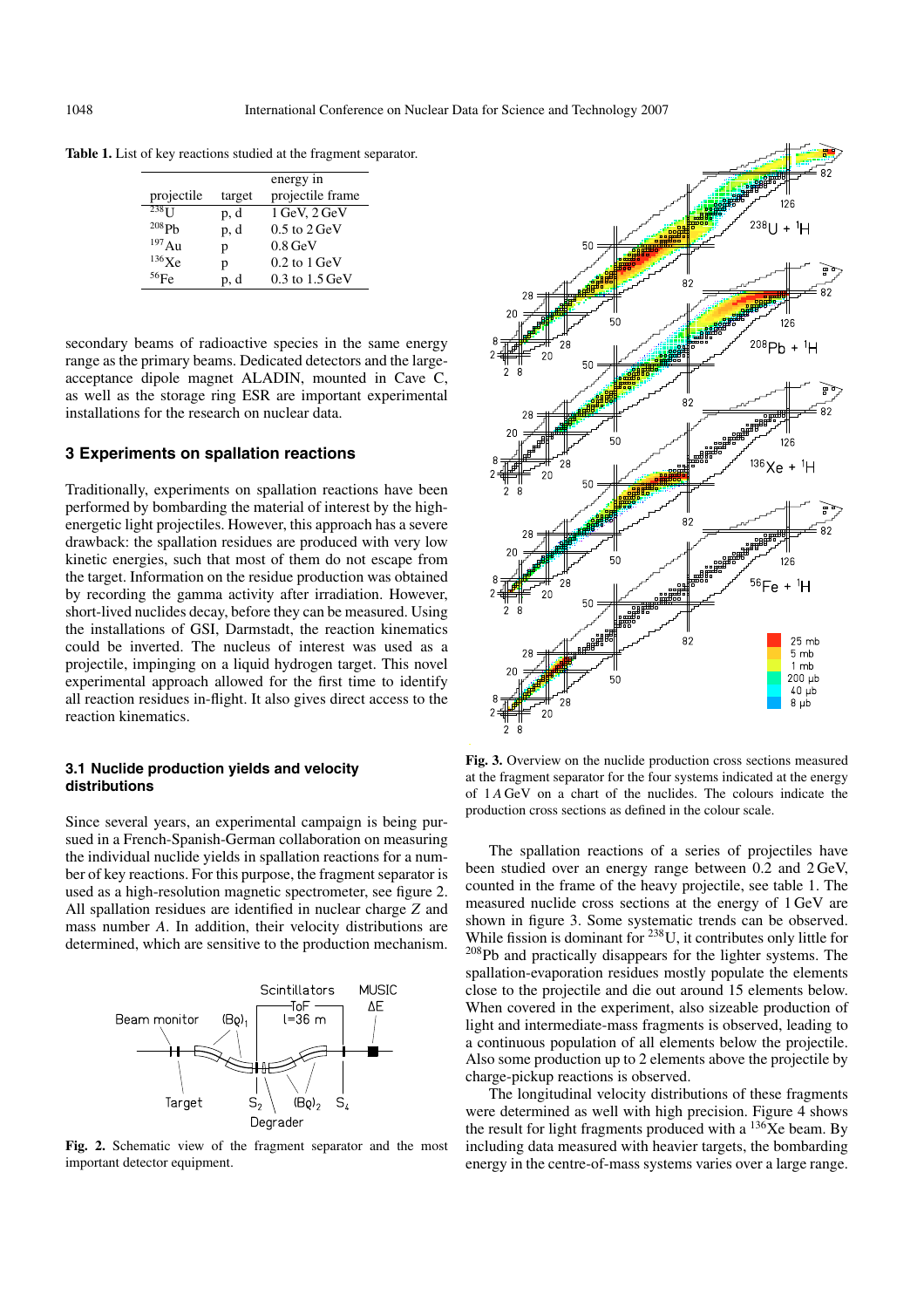|  |  |  |  | Table 1. List of key reactions studied at the fragment separator. |
|--|--|--|--|-------------------------------------------------------------------|
|  |  |  |  |                                                                   |

|                     |        | energy in                   |
|---------------------|--------|-----------------------------|
| projectile          | target | projectile frame            |
| $238$ <sub>II</sub> | p, d   | $1$ GeV, $2$ GeV            |
| 208Ph               | p, d   | $0.5$ to $2 \,\mathrm{GeV}$ |
| 197Au               | p      | $0.8 \,\mathrm{GeV}$        |
| 136Xe               | p      | $0.2$ to $1 \,\mathrm{GeV}$ |
| $^{56}$ Fe          | p, d   | 0.3 to 1.5 GeV              |

secondary beams of radioactive species in the same energy range as the primary beams. Dedicated detectors and the largeacceptance dipole magnet ALADIN, mounted in Cave C, as well as the storage ring ESR are important experimental installations for the research on nuclear data.

# **3 Experiments on spallation reactions**

Traditionally, experiments on spallation reactions have been performed by bombarding the material of interest by the highenergetic light projectiles. However, this approach has a severe drawback: the spallation residues are produced with very low kinetic energies, such that most of them do not escape from the target. Information on the residue production was obtained by recording the gamma activity after irradiation. However, short-lived nuclides decay, before they can be measured. Using the installations of GSI, Darmstadt, the reaction kinematics could be inverted. The nucleus of interest was used as a projectile, impinging on a liquid hydrogen target. This novel experimental approach allowed for the first time to identify all reaction residues in-flight. It also gives direct access to the reaction kinematics.

### **3.1 Nuclide production yields and velocity distributions**

Since several years, an experimental campaign is being pursued in a French-Spanish-German collaboration on measuring the individual nuclide yields in spallation reactions for a number of key reactions. For this purpose, the fragment separator is used as a high-resolution magnetic spectrometer, see figure 2. All spallation residues are identified in nuclear charge *Z* and mass number *A*. In addition, their velocity distributions are determined, which are sensitive to the production mechanism.



**Fig. 2.** Schematic view of the fragment separator and the most important detector equipment.



**Fig. 3.** Overview on the nuclide production cross sections measured at the fragment separator for the four systems indicated at the energy of 1 *A* GeV on a chart of the nuclides. The colours indicate the production cross sections as defined in the colour scale.

The spallation reactions of a series of projectiles have been studied over an energy range between 0.2 and 2 GeV, counted in the frame of the heavy projectile, see table 1. The measured nuclide cross sections at the energy of 1 GeV are shown in figure 3. Some systematic trends can be observed. While fission is dominant for <sup>238</sup>U, it contributes only little for 208Pb and practically disappears for the lighter systems. The spallation-evaporation residues mostly populate the elements close to the projectile and die out around 15 elements below. When covered in the experiment, also sizeable production of light and intermediate-mass fragments is observed, leading to a continuous population of all elements below the projectile. Also some production up to 2 elements above the projectile by charge-pickup reactions is observed.

The longitudinal velocity distributions of these fragments were determined as well with high precision. Figure 4 shows the result for light fragments produced with a  $^{136}$ Xe beam. By including data measured with heavier targets, the bombarding energy in the centre-of-mass systems varies over a large range.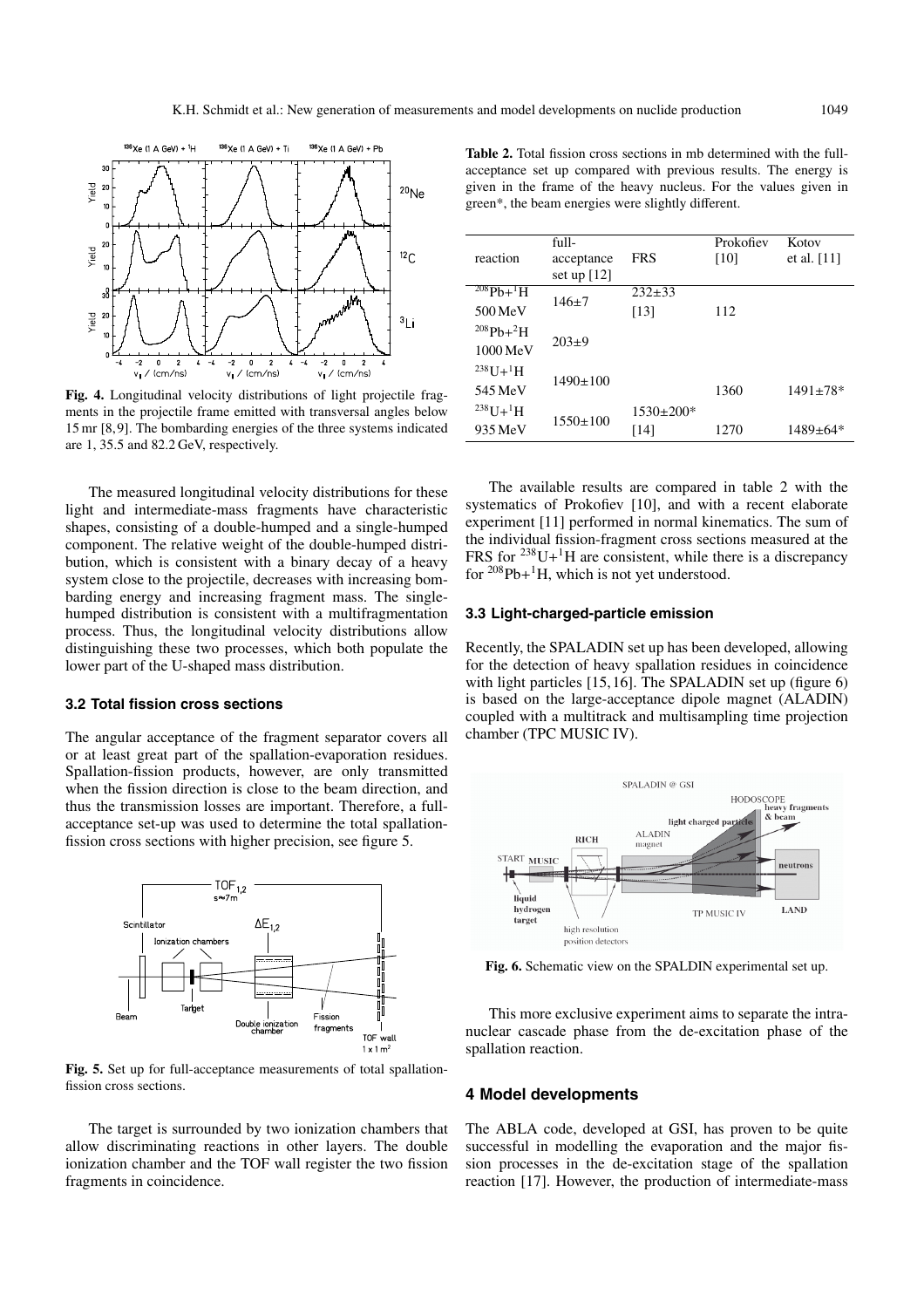

**Fig. 4.** Longitudinal velocity distributions of light projectile fragments in the projectile frame emitted with transversal angles below 15 mr [8, 9]. The bombarding energies of the three systems indicated are 1, 35.5 and 82.2 GeV, respectively.

The measured longitudinal velocity distributions for these light and intermediate-mass fragments have characteristic shapes, consisting of a double-humped and a single-humped component. The relative weight of the double-humped distribution, which is consistent with a binary decay of a heavy system close to the projectile, decreases with increasing bombarding energy and increasing fragment mass. The singlehumped distribution is consistent with a multifragmentation process. Thus, the longitudinal velocity distributions allow distinguishing these two processes, which both populate the lower part of the U-shaped mass distribution.

#### **3.2 Total fission cross sections**

The angular acceptance of the fragment separator covers all or at least great part of the spallation-evaporation residues. Spallation-fission products, however, are only transmitted when the fission direction is close to the beam direction, and thus the transmission losses are important. Therefore, a fullacceptance set-up was used to determine the total spallationfission cross sections with higher precision, see figure 5.



**Fig. 5.** Set up for full-acceptance measurements of total spallationfission cross sections.

The target is surrounded by two ionization chambers that allow discriminating reactions in other layers. The double ionization chamber and the TOF wall register the two fission fragments in coincidence.

**Table 2.** Total fission cross sections in mb determined with the fullacceptance set up compared with previous results. The energy is given in the frame of the heavy nucleus. For the values given in green\*, the beam energies were slightly different.

| reaction                   | full-<br>acceptance<br>set up $[12]$ | <b>FRS</b>      | Prokofiev<br>[10] | Kotov<br>et al. $[11]$ |
|----------------------------|--------------------------------------|-----------------|-------------------|------------------------|
| $^{208}Pb+$ <sup>1</sup> H |                                      | $232+33$        |                   |                        |
| $500$ MeV                  | $146+7$                              | [13]            | 112               |                        |
| $^{208}Pb+^2H$             |                                      |                 |                   |                        |
| $1000 \,\mathrm{MeV}$      | $203+9$                              |                 |                   |                        |
| $^{238}$ U+ <sup>1</sup> H |                                      |                 |                   |                        |
| 545 MeV                    | $1490 \pm 100$                       |                 | 1360              | $1491 \pm 78$ *        |
| $^{238}U+^{1}H$            |                                      | $1530 \pm 200*$ |                   |                        |
| 935 MeV                    | $1550 \pm 100$                       | [14]            | 1270              | 1489±64*               |
|                            |                                      |                 |                   |                        |

The available results are compared in table 2 with the systematics of Prokofiev [10], and with a recent elaborate experiment [11] performed in normal kinematics. The sum of the individual fission-fragment cross sections measured at the FRS for  $238$ U+<sup>1</sup>H are consistent, while there is a discrepancy for  $208Pb+$ <sup>1</sup>H, which is not yet understood.

#### **3.3 Light-charged-particle emission**

Recently, the SPALADIN set up has been developed, allowing for the detection of heavy spallation residues in coincidence with light particles [15, 16]. The SPALADIN set up (figure 6) is based on the large-acceptance dipole magnet (ALADIN) coupled with a multitrack and multisampling time projection chamber (TPC MUSIC IV).



**Fig. 6.** Schematic view on the SPALDIN experimental set up.

This more exclusive experiment aims to separate the intranuclear cascade phase from the de-excitation phase of the spallation reaction.

## **4 Model developments**

The ABLA code, developed at GSI, has proven to be quite successful in modelling the evaporation and the major fission processes in the de-excitation stage of the spallation reaction [17]. However, the production of intermediate-mass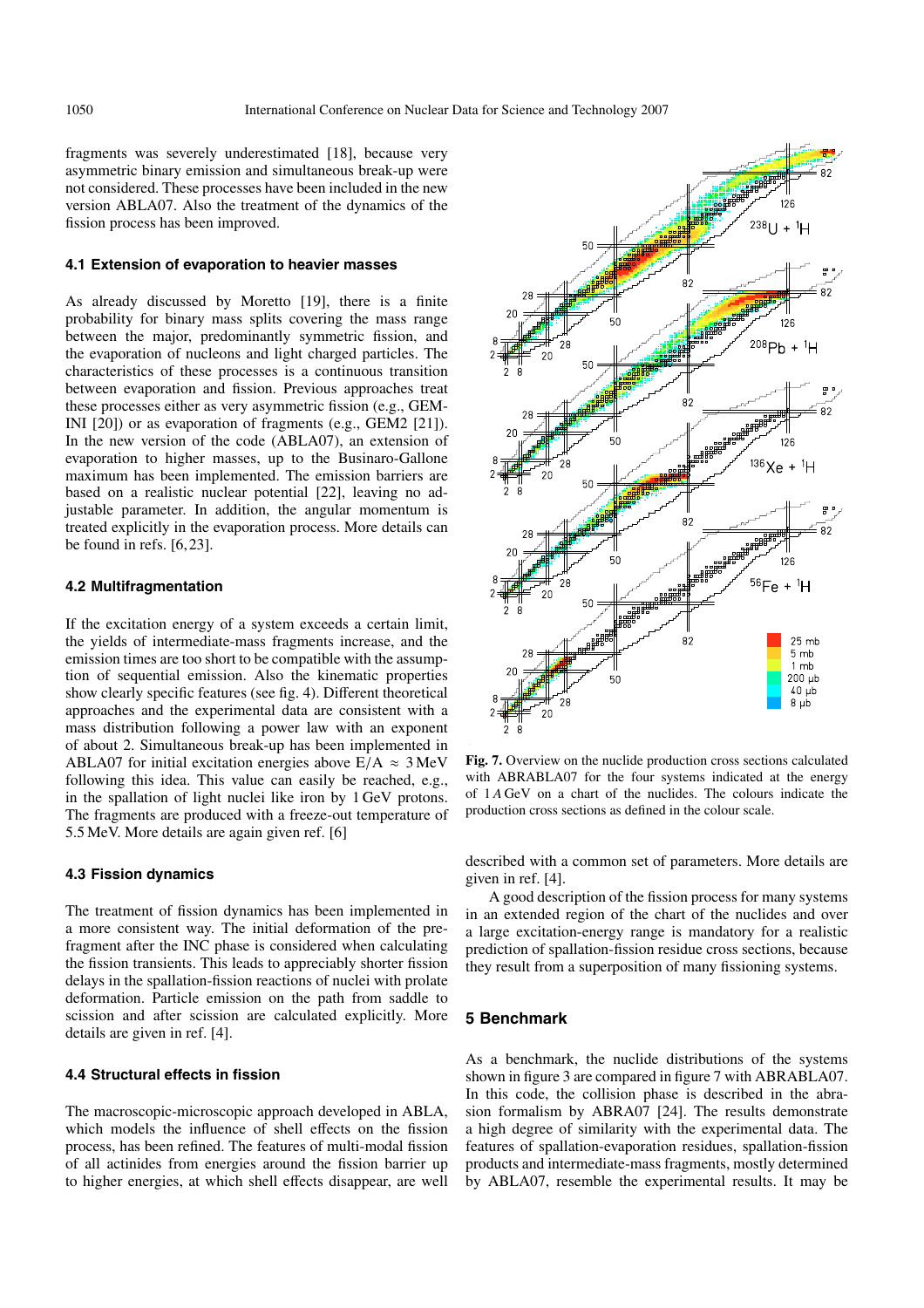fragments was severely underestimated [18], because very asymmetric binary emission and simultaneous break-up were not considered. These processes have been included in the new version ABLA07. Also the treatment of the dynamics of the fission process has been improved.

#### **4.1 Extension of evaporation to heavier masses**

As already discussed by Moretto [19], there is a finite probability for binary mass splits covering the mass range between the major, predominantly symmetric fission, and the evaporation of nucleons and light charged particles. The characteristics of these processes is a continuous transition between evaporation and fission. Previous approaches treat these processes either as very asymmetric fission (e.g., GEM-INI [20]) or as evaporation of fragments (e.g., GEM2 [21]). In the new version of the code (ABLA07), an extension of evaporation to higher masses, up to the Businaro-Gallone maximum has been implemented. The emission barriers are based on a realistic nuclear potential [22], leaving no adjustable parameter. In addition, the angular momentum is treated explicitly in the evaporation process. More details can be found in refs. [6, 23].

### **4.2 Multifragmentation**

If the excitation energy of a system exceeds a certain limit, the yields of intermediate-mass fragments increase, and the emission times are too short to be compatible with the assumption of sequential emission. Also the kinematic properties show clearly specific features (see fig. 4). Different theoretical approaches and the experimental data are consistent with a mass distribution following a power law with an exponent of about 2. Simultaneous break-up has been implemented in ABLA07 for initial excitation energies above  $E/A \approx 3$  MeV following this idea. This value can easily be reached, e.g., in the spallation of light nuclei like iron by 1 GeV protons. The fragments are produced with a freeze-out temperature of 5.5 MeV. More details are again given ref. [6]

## **4.3 Fission dynamics**

The treatment of fission dynamics has been implemented in a more consistent way. The initial deformation of the prefragment after the INC phase is considered when calculating the fission transients. This leads to appreciably shorter fission delays in the spallation-fission reactions of nuclei with prolate deformation. Particle emission on the path from saddle to scission and after scission are calculated explicitly. More details are given in ref. [4].

### **4.4 Structural effects in fission**

The macroscopic-microscopic approach developed in ABLA, which models the influence of shell effects on the fission process, has been refined. The features of multi-modal fission of all actinides from energies around the fission barrier up to higher energies, at which shell effects disappear, are well



**Fig. 7.** Overview on the nuclide production cross sections calculated with ABRABLA07 for the four systems indicated at the energy of 1 *A* GeV on a chart of the nuclides. The colours indicate the production cross sections as defined in the colour scale.

described with a common set of parameters. More details are given in ref. [4].

A good description of the fission process for many systems in an extended region of the chart of the nuclides and over a large excitation-energy range is mandatory for a realistic prediction of spallation-fission residue cross sections, because they result from a superposition of many fissioning systems.

## **5 Benchmark**

As a benchmark, the nuclide distributions of the systems shown in figure 3 are compared in figure 7 with ABRABLA07. In this code, the collision phase is described in the abrasion formalism by ABRA07 [24]. The results demonstrate a high degree of similarity with the experimental data. The features of spallation-evaporation residues, spallation-fission products and intermediate-mass fragments, mostly determined by ABLA07, resemble the experimental results. It may be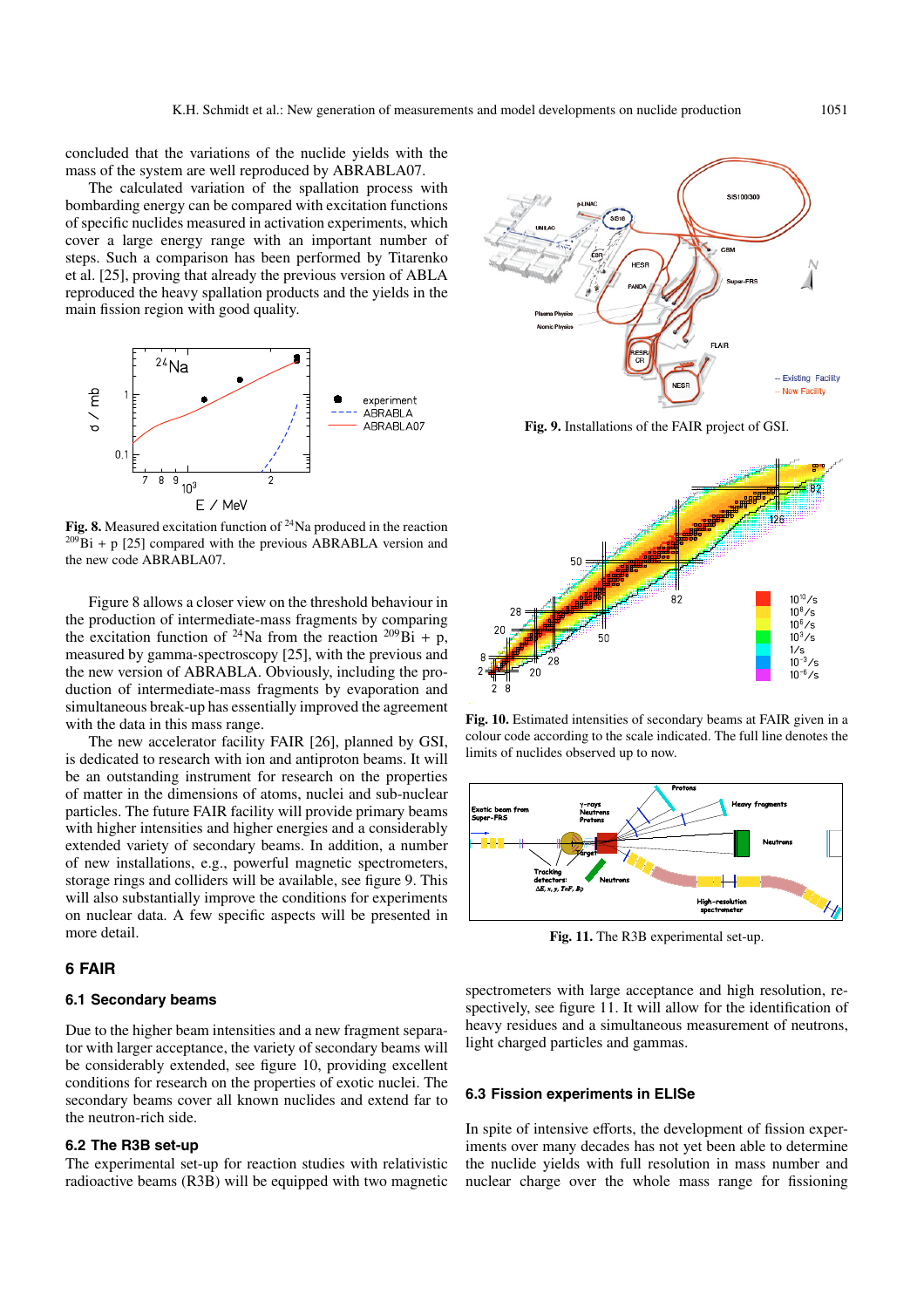concluded that the variations of the nuclide yields with the mass of the system are well reproduced by ABRABLA07.

The calculated variation of the spallation process with bombarding energy can be compared with excitation functions of specific nuclides measured in activation experiments, which cover a large energy range with an important number of steps. Such a comparison has been performed by Titarenko et al. [25], proving that already the previous version of ABLA reproduced the heavy spallation products and the yields in the main fission region with good quality.



**Fig. 8.** Measured excitation function of <sup>24</sup>Na produced in the reaction  $^{209}Bi + p$  [25] compared with the previous ABRABLA version and the new code ABRABLA07.

Figure 8 allows a closer view on the threshold behaviour in the production of intermediate-mass fragments by comparing the excitation function of <sup>24</sup>Na from the reaction <sup>209</sup>Bi + p, measured by gamma-spectroscopy [25], with the previous and the new version of ABRABLA. Obviously, including the production of intermediate-mass fragments by evaporation and simultaneous break-up has essentially improved the agreement with the data in this mass range.

The new accelerator facility FAIR [26], planned by GSI, is dedicated to research with ion and antiproton beams. It will be an outstanding instrument for research on the properties of matter in the dimensions of atoms, nuclei and sub-nuclear particles. The future FAIR facility will provide primary beams with higher intensities and higher energies and a considerably extended variety of secondary beams. In addition, a number of new installations, e.g., powerful magnetic spectrometers, storage rings and colliders will be available, see figure 9. This will also substantially improve the conditions for experiments on nuclear data. A few specific aspects will be presented in more detail.

# **6 FAIR**

## **6.1 Secondary beams**

Due to the higher beam intensities and a new fragment separator with larger acceptance, the variety of secondary beams will be considerably extended, see figure 10, providing excellent conditions for research on the properties of exotic nuclei. The secondary beams cover all known nuclides and extend far to the neutron-rich side.

# **6.2 The R3B set-up**

The experimental set-up for reaction studies with relativistic radioactive beams (R3B) will be equipped with two magnetic



**Fig. 9.** Installations of the FAIR project of GSI.



**Fig. 10.** Estimated intensities of secondary beams at FAIR given in a colour code according to the scale indicated. The full line denotes the limits of nuclides observed up to now.



**Fig. 11.** The R3B experimental set-up.

spectrometers with large acceptance and high resolution, respectively, see figure 11. It will allow for the identification of heavy residues and a simultaneous measurement of neutrons, light charged particles and gammas.

## **6.3 Fission experiments in ELISe**

In spite of intensive efforts, the development of fission experiments over many decades has not yet been able to determine the nuclide yields with full resolution in mass number and nuclear charge over the whole mass range for fissioning